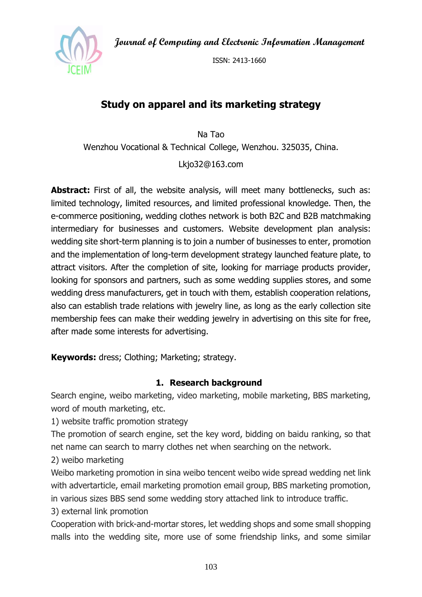**Journal of Computing and Electronic Information Management**



ISSN: 2413-1660

# **Study on apparel and its marketing strategy**

Na Tao Wenzhou Vocational & Technical College, Wenzhou. 325035, China.

Lkjo32@163.com

**Abstract:** First of all, the website analysis, will meet many bottlenecks, such as: limited technology, limited resources, and limited professional knowledge. Then, the e-commerce positioning, wedding clothes network is both B2C and B2B matchmaking intermediary for businesses and customers. Website development plan analysis: wedding site short-term planning is to join a number of businesses to enter, promotion and the implementation of long-term development strategy launched feature plate, to attract visitors. After the completion of site, looking for marriage products provider, looking for sponsors and partners, such as some wedding supplies stores, and some wedding dress manufacturers, get in touch with them, establish cooperation relations, also can establish trade relations with jewelry line, as long as the early collection site membership fees can make their wedding jewelry in advertising on this site for free, after made some interests for advertising.

**Keywords:** dress; Clothing; Marketing; strategy.

### **1. Research background**

Search engine, weibo marketing, video marketing, mobile marketing, BBS marketing, word of mouth marketing, etc.

1) website traffic promotion strategy

The promotion of search engine, set the key word, bidding on baidu ranking, so that net name can search to marry clothes net when searching on the network.

2) weibo marketing

Weibo marketing promotion in sina weibo tencent weibo wide spread wedding net link with advertarticle, email marketing promotion email group, BBS marketing promotion, in various sizes BBS send some wedding story attached link to introduce traffic.

3) external link promotion

Cooperation with brick-and-mortar stores, let wedding shops and some small shopping malls into the wedding site, more use of some friendship links, and some similar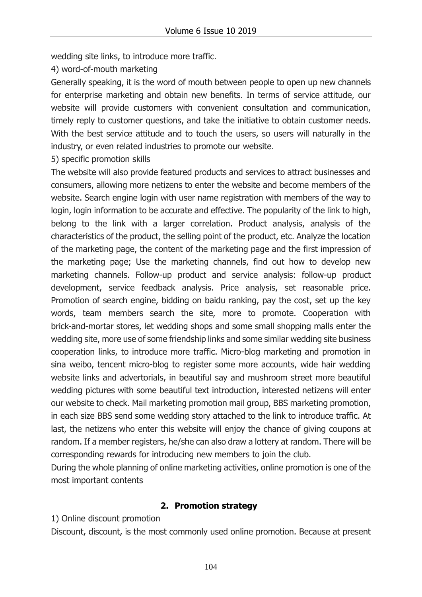wedding site links, to introduce more traffic.

4) word-of-mouth marketing

Generally speaking, it is the word of mouth between people to open up new channels for enterprise marketing and obtain new benefits. In terms of service attitude, our website will provide customers with convenient consultation and communication, timely reply to customer questions, and take the initiative to obtain customer needs. With the best service attitude and to touch the users, so users will naturally in the industry, or even related industries to promote our website.

5) specific promotion skills

The website will also provide featured products and services to attract businesses and consumers, allowing more netizens to enter the website and become members of the website. Search engine login with user name registration with members of the way to login, login information to be accurate and effective. The popularity of the link to high, belong to the link with a larger correlation. Product analysis, analysis of the characteristics of the product, the selling point of the product, etc. Analyze the location of the marketing page, the content of the marketing page and the first impression of the marketing page; Use the marketing channels, find out how to develop new marketing channels. Follow-up product and service analysis: follow-up product development, service feedback analysis. Price analysis, set reasonable price. Promotion of search engine, bidding on baidu ranking, pay the cost, set up the key words, team members search the site, more to promote. Cooperation with brick-and-mortar stores, let wedding shops and some small shopping malls enter the wedding site, more use of some friendship links and some similar wedding site business cooperation links, to introduce more traffic. Micro-blog marketing and promotion in sina weibo, tencent micro-blog to register some more accounts, wide hair wedding website links and advertorials, in beautiful say and mushroom street more beautiful wedding pictures with some beautiful text introduction, interested netizens will enter our website to check. Mail marketing promotion mail group, BBS marketing promotion, in each size BBS send some wedding story attached to the link to introduce traffic. At last, the netizens who enter this website will enjoy the chance of giving coupons at random. If a member registers, he/she can also draw a lottery at random. There will be corresponding rewards for introducing new members to join the club.

During the whole planning of online marketing activities, online promotion is one of the most important contents

#### **2. Promotion strategy**

#### 1) Online discount promotion

Discount, discount, is the most commonly used online promotion. Because at present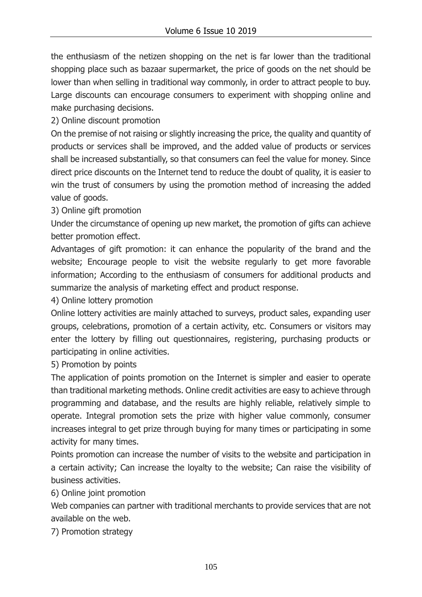the enthusiasm of the netizen shopping on the net is far lower than the traditional shopping place such as bazaar supermarket, the price of goods on the net should be lower than when selling in traditional way commonly, in order to attract people to buy. Large discounts can encourage consumers to experiment with shopping online and make purchasing decisions.

2) Online discount promotion

On the premise of not raising or slightly increasing the price, the quality and quantity of products or services shall be improved, and the added value of products or services shall be increased substantially, so that consumers can feel the value for money. Since direct price discounts on the Internet tend to reduce the doubt of quality, it is easier to win the trust of consumers by using the promotion method of increasing the added value of goods.

3) Online gift promotion

Under the circumstance of opening up new market, the promotion of gifts can achieve better promotion effect.

Advantages of gift promotion: it can enhance the popularity of the brand and the website; Encourage people to visit the website regularly to get more favorable information; According to the enthusiasm of consumers for additional products and summarize the analysis of marketing effect and product response.

4) Online lottery promotion

Online lottery activities are mainly attached to surveys, product sales, expanding user groups, celebrations, promotion of a certain activity, etc. Consumers or visitors may enter the lottery by filling out questionnaires, registering, purchasing products or participating in online activities.

5) Promotion by points

The application of points promotion on the Internet is simpler and easier to operate than traditional marketing methods. Online credit activities are easy to achieve through programming and database, and the results are highly reliable, relatively simple to operate. Integral promotion sets the prize with higher value commonly, consumer increases integral to get prize through buying for many times or participating in some activity for many times.

Points promotion can increase the number of visits to the website and participation in a certain activity; Can increase the loyalty to the website; Can raise the visibility of business activities.

6) Online joint promotion

Web companies can partner with traditional merchants to provide services that are not available on the web.

7) Promotion strategy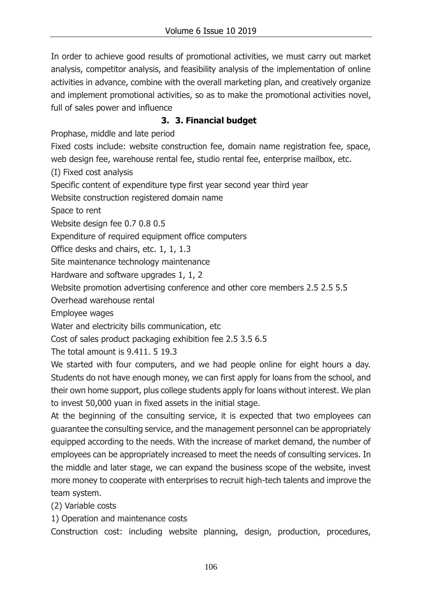In order to achieve good results of promotional activities, we must carry out market analysis, competitor analysis, and feasibility analysis of the implementation of online activities in advance, combine with the overall marketing plan, and creatively organize and implement promotional activities, so as to make the promotional activities novel, full of sales power and influence

## **3. 3. Financial budget**

Prophase, middle and late period

Fixed costs include: website construction fee, domain name registration fee, space, web design fee, warehouse rental fee, studio rental fee, enterprise mailbox, etc.

(I) Fixed cost analysis

Specific content of expenditure type first year second year third year

Website construction registered domain name

Space to rent

Website design fee 0.7 0.8 0.5

Expenditure of required equipment office computers

Office desks and chairs, etc. 1, 1, 1.3

Site maintenance technology maintenance

Hardware and software upgrades 1, 1, 2

Website promotion advertising conference and other core members 2.5 2.5 5.5

Overhead warehouse rental

Employee wages

Water and electricity bills communication, etc

Cost of sales product packaging exhibition fee 2.5 3.5 6.5

The total amount is 9.411. 5 19.3

We started with four computers, and we had people online for eight hours a day. Students do not have enough money, we can first apply for loans from the school, and their own home support, plus college students apply for loans without interest. We plan to invest 50,000 yuan in fixed assets in the initial stage.

At the beginning of the consulting service, it is expected that two employees can guarantee the consulting service, and the management personnel can be appropriately equipped according to the needs. With the increase of market demand, the number of employees can be appropriately increased to meet the needs of consulting services. In the middle and later stage, we can expand the business scope of the website, invest more money to cooperate with enterprises to recruit high-tech talents and improve the team system.

(2) Variable costs

1) Operation and maintenance costs

Construction cost: including website planning, design, production, procedures,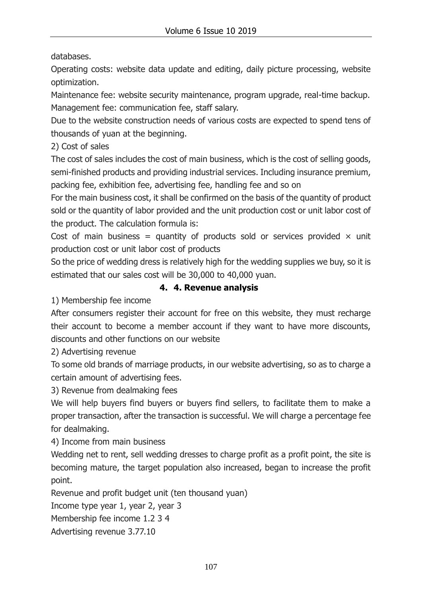databases.

Operating costs: website data update and editing, daily picture processing, website optimization.

Maintenance fee: website security maintenance, program upgrade, real-time backup. Management fee: communication fee, staff salary.

Due to the website construction needs of various costs are expected to spend tens of thousands of yuan at the beginning.

2) Cost of sales

The cost of sales includes the cost of main business, which is the cost of selling goods, semi-finished products and providing industrial services. Including insurance premium, packing fee, exhibition fee, advertising fee, handling fee and so on

For the main business cost, it shall be confirmed on the basis of the quantity of product sold or the quantity of labor provided and the unit production cost or unit labor cost of the product. The calculation formula is:

Cost of main business = quantity of products sold or services provided  $\times$  unit production cost or unit labor cost of products

So the price of wedding dress is relatively high for the wedding supplies we buy, so it is estimated that our sales cost will be 30,000 to 40,000 yuan.

### **4. 4. Revenue analysis**

1) Membership fee income

After consumers register their account for free on this website, they must recharge their account to become a member account if they want to have more discounts, discounts and other functions on our website

2) Advertising revenue

To some old brands of marriage products, in our website advertising, so as to charge a certain amount of advertising fees.

3) Revenue from dealmaking fees

We will help buyers find buyers or buyers find sellers, to facilitate them to make a proper transaction, after the transaction is successful. We will charge a percentage fee for dealmaking.

4) Income from main business

Wedding net to rent, sell wedding dresses to charge profit as a profit point, the site is becoming mature, the target population also increased, began to increase the profit point.

Revenue and profit budget unit (ten thousand yuan)

Income type year 1, year 2, year 3

Membership fee income 1.2 3 4

Advertising revenue 3.77.10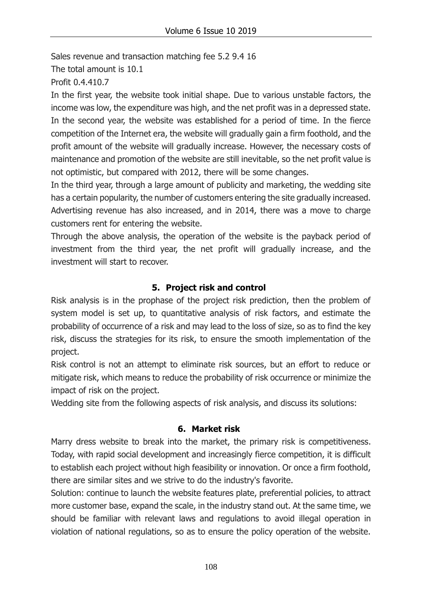Sales revenue and transaction matching fee 5.2 9.4 16

The total amount is 10.1

Profit 0.4.410.7

In the first year, the website took initial shape. Due to various unstable factors, the income was low, the expenditure was high, and the net profit was in a depressed state. In the second year, the website was established for a period of time. In the fierce competition of the Internet era, the website will gradually gain a firm foothold, and the profit amount of the website will gradually increase. However, the necessary costs of maintenance and promotion of the website are still inevitable, so the net profit value is not optimistic, but compared with 2012, there will be some changes.

In the third year, through a large amount of publicity and marketing, the wedding site has a certain popularity, the number of customers entering the site gradually increased. Advertising revenue has also increased, and in 2014, there was a move to charge customers rent for entering the website.

Through the above analysis, the operation of the website is the payback period of investment from the third year, the net profit will gradually increase, and the investment will start to recover.

## **5. Project risk and control**

Risk analysis is in the prophase of the project risk prediction, then the problem of system model is set up, to quantitative analysis of risk factors, and estimate the probability of occurrence of a risk and may lead to the loss of size, so as to find the key risk, discuss the strategies for its risk, to ensure the smooth implementation of the project.

Risk control is not an attempt to eliminate risk sources, but an effort to reduce or mitigate risk, which means to reduce the probability of risk occurrence or minimize the impact of risk on the project.

Wedding site from the following aspects of risk analysis, and discuss its solutions:

### **6. Market risk**

Marry dress website to break into the market, the primary risk is competitiveness. Today, with rapid social development and increasingly fierce competition, it is difficult to establish each project without high feasibility or innovation. Or once a firm foothold, there are similar sites and we strive to do the industry's favorite.

Solution: continue to launch the website features plate, preferential policies, to attract more customer base, expand the scale, in the industry stand out. At the same time, we should be familiar with relevant laws and regulations to avoid illegal operation in violation of national regulations, so as to ensure the policy operation of the website.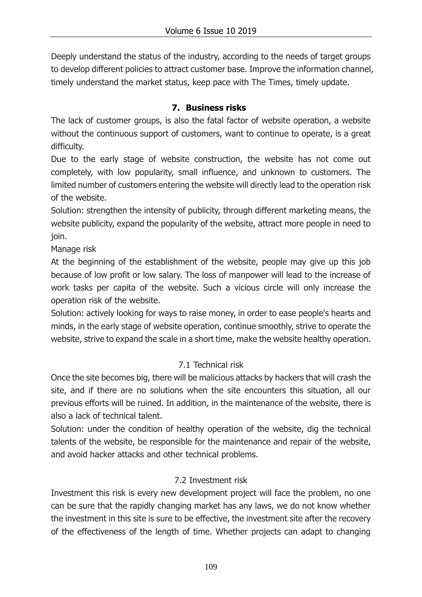Deeply understand the status of the industry, according to the needs of target groups to develop different policies to attract customer base. Improve the information channel, timely understand the market status, keep pace with The Times, timely update.

### **7. Business risks**

The lack of customer groups, is also the fatal factor of website operation, a website without the continuous support of customers, want to continue to operate, is a great difficulty.

Due to the early stage of website construction, the website has not come out completely, with low popularity, small influence, and unknown to customers. The limited number of customers entering the website will directly lead to the operation risk of the website.

Solution: strengthen the intensity of publicity, through different marketing means, the website publicity, expand the popularity of the website, attract more people in need to join.

Manage risk

At the beginning of the establishment of the website, people may give up this job because of low profit or low salary. The loss of manpower will lead to the increase of work tasks per capita of the website. Such a vicious circle will only increase the operation risk of the website.

Solution: actively looking for ways to raise money, in order to ease people's hearts and minds, in the early stage of website operation, continue smoothly, strive to operate the website, strive to expand the scale in a short time, make the website healthy operation.

## 7.1 Technical risk

Once the site becomes big, there will be malicious attacks by hackers that will crash the site, and if there are no solutions when the site encounters this situation, all our previous efforts will be ruined. In addition, in the maintenance of the website, there is also a lack of technical talent.

Solution: under the condition of healthy operation of the website, dig the technical talents of the website, be responsible for the maintenance and repair of the website, and avoid hacker attacks and other technical problems.

# 7.2 Investment risk

Investment this risk is every new development project will face the problem, no one can be sure that the rapidly changing market has any laws, we do not know whether the investment in this site is sure to be effective, the investment site after the recovery of the effectiveness of the length of time. Whether projects can adapt to changing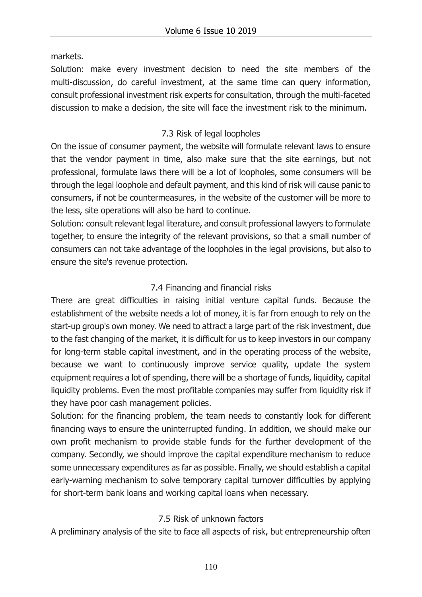markets.

Solution: make every investment decision to need the site members of the multi-discussion, do careful investment, at the same time can query information, consult professional investment risk experts for consultation, through the multi-faceted discussion to make a decision, the site will face the investment risk to the minimum.

## 7.3 Risk of legal loopholes

On the issue of consumer payment, the website will formulate relevant laws to ensure that the vendor payment in time, also make sure that the site earnings, but not professional, formulate laws there will be a lot of loopholes, some consumers will be through the legal loophole and default payment, and this kind of risk will cause panic to consumers, if not be countermeasures, in the website of the customer will be more to the less, site operations will also be hard to continue.

Solution: consult relevant legal literature, and consult professional lawyers to formulate together, to ensure the integrity of the relevant provisions, so that a small number of consumers can not take advantage of the loopholes in the legal provisions, but also to ensure the site's revenue protection.

# 7.4 Financing and financial risks

There are great difficulties in raising initial venture capital funds. Because the establishment of the website needs a lot of money, it is far from enough to rely on the start-up group's own money. We need to attract a large part of the risk investment, due to the fast changing of the market, it is difficult for us to keep investors in our company for long-term stable capital investment, and in the operating process of the website, because we want to continuously improve service quality, update the system equipment requires a lot of spending, there will be a shortage of funds, liquidity, capital liquidity problems. Even the most profitable companies may suffer from liquidity risk if they have poor cash management policies.

Solution: for the financing problem, the team needs to constantly look for different financing ways to ensure the uninterrupted funding. In addition, we should make our own profit mechanism to provide stable funds for the further development of the company. Secondly, we should improve the capital expenditure mechanism to reduce some unnecessary expenditures as far as possible. Finally, we should establish a capital early-warning mechanism to solve temporary capital turnover difficulties by applying for short-term bank loans and working capital loans when necessary.

## 7.5 Risk of unknown factors

A preliminary analysis of the site to face all aspects of risk, but entrepreneurship often